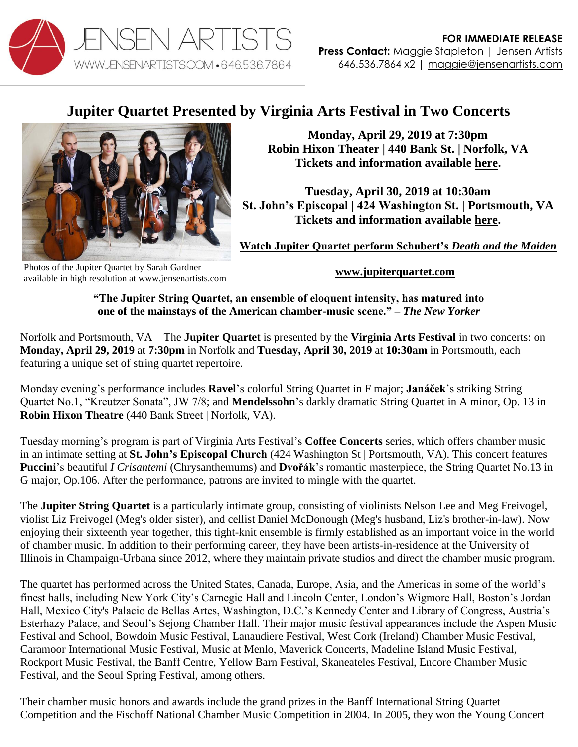

## **Jupiter Quartet Presented by Virginia Arts Festival in Two Concerts**



**Monday, April 29, 2019 at 7:30pm Robin Hixon Theater | 440 Bank St. | Norfolk, VA Tickets and information available [here.](https://secure.vafest.org/single/eventDetail.aspx?p=654)** 

**Tuesday, April 30, 2019 at 10:30am St. John's Episcopal | 424 Washington St. | Portsmouth, VA Tickets and information available [here.](https://secure.vafest.org/single/eventDetail.aspx?p=723)**

**[Watch Jupiter Quartet perform Schubert's](https://vimeo.com/115453429)** *Death and the Maiden*

Photos of the Jupiter Quartet by Sarah Gardner available in high resolution a[t www.jensenartists.com](http://www.jensenartists.com/)

**[www.jupiterquartet.com](http://www.jupiterquartet.com/)**

**"The Jupiter String Quartet, an ensemble of eloquent intensity, has matured into one of the mainstays of the American chamber-music scene." –** *The New Yorker*

Norfolk and Portsmouth, VA – The **Jupiter Quartet** is presented by the **Virginia Arts Festival** in two concerts: on **Monday, April 29, 2019** at **7:30pm** in Norfolk and **Tuesday, April 30, 2019** at **10:30am** in Portsmouth, each featuring a unique set of string quartet repertoire.

Monday evening's performance includes **Ravel**'s colorful String Quartet in F major; **Janáček**'s striking String Quartet No.1, "Kreutzer Sonata", JW 7/8; and **Mendelssohn**'s darkly dramatic String Quartet in A minor, Op. 13 in **Robin Hixon Theatre** (440 Bank Street | Norfolk, VA).

Tuesday morning's program is part of Virginia Arts Festival's **Coffee Concerts** series, which offers chamber music in an intimate setting at **St. John's Episcopal Church** (424 Washington St | Portsmouth, VA). This concert features **Puccini**'s beautiful *I Crisantemi* (Chrysanthemums) and **Dvořák**'s romantic masterpiece, the String Quartet No.13 in G major, Op.106. After the performance, patrons are invited to mingle with the quartet.

The **Jupiter String Quartet** is a particularly intimate group, consisting of violinists Nelson Lee and Meg Freivogel, violist Liz Freivogel (Meg's older sister), and cellist Daniel McDonough (Meg's husband, Liz's brother-in-law). Now enjoying their sixteenth year together, this tight-knit ensemble is firmly established as an important voice in the world of chamber music. In addition to their performing career, they have been artists-in-residence at the University of Illinois in Champaign-Urbana since 2012, where they maintain private studios and direct the chamber music program.

The quartet has performed across the United States, Canada, Europe, Asia, and the Americas in some of the world's finest halls, including New York City's Carnegie Hall and Lincoln Center, London's Wigmore Hall, Boston's Jordan Hall, Mexico City's Palacio de Bellas Artes, Washington, D.C.'s Kennedy Center and Library of Congress, Austria's Esterhazy Palace, and Seoul's Sejong Chamber Hall. Their major music festival appearances include the Aspen Music Festival and School, Bowdoin Music Festival, Lanaudiere Festival, West Cork (Ireland) Chamber Music Festival, Caramoor International Music Festival, Music at Menlo, Maverick Concerts, Madeline Island Music Festival, Rockport Music Festival, the Banff Centre, Yellow Barn Festival, Skaneateles Festival, Encore Chamber Music Festival, and the Seoul Spring Festival, among others.

Their chamber music honors and awards include the grand prizes in the Banff International String Quartet Competition and the Fischoff National Chamber Music Competition in 2004. In 2005, they won the Young Concert